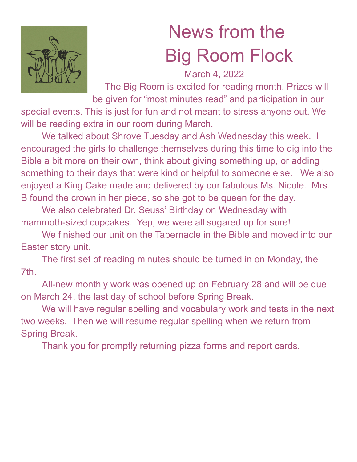

## News from the Big Room Flock

March 4, 2022

The Big Room is excited for reading month. Prizes will be given for "most minutes read" and participation in our

special events. This is just for fun and not meant to stress anyone out. We will be reading extra in our room during March.

We talked about Shrove Tuesday and Ash Wednesday this week. I encouraged the girls to challenge themselves during this time to dig into the Bible a bit more on their own, think about giving something up, or adding something to their days that were kind or helpful to someone else. We also enjoyed a King Cake made and delivered by our fabulous Ms. Nicole. Mrs. B found the crown in her piece, so she got to be queen for the day.

We also celebrated Dr. Seuss' Birthday on Wednesday with mammoth-sized cupcakes. Yep, we were all sugared up for sure!

We finished our unit on the Tabernacle in the Bible and moved into our Easter story unit.

The first set of reading minutes should be turned in on Monday, the 7th.

All-new monthly work was opened up on February 28 and will be due on March 24, the last day of school before Spring Break.

We will have regular spelling and vocabulary work and tests in the next two weeks. Then we will resume regular spelling when we return from Spring Break.

Thank you for promptly returning pizza forms and report cards.